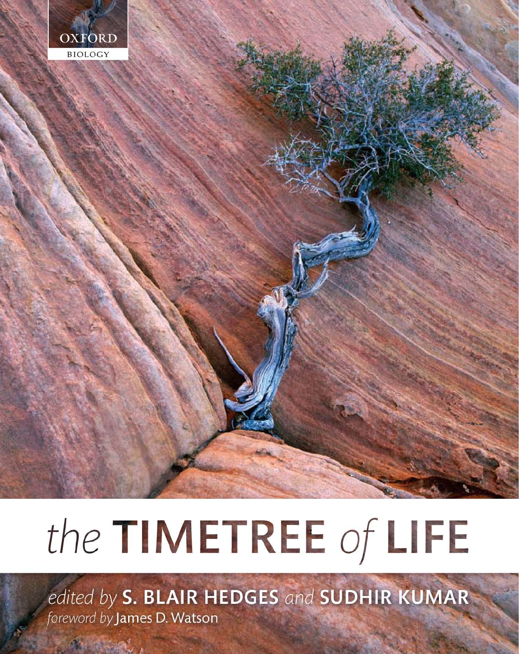

# the TIMETREE of LIFE

edited by S. BLAIR HEDGES and SUDHIR KUMAR foreword by James D. Watson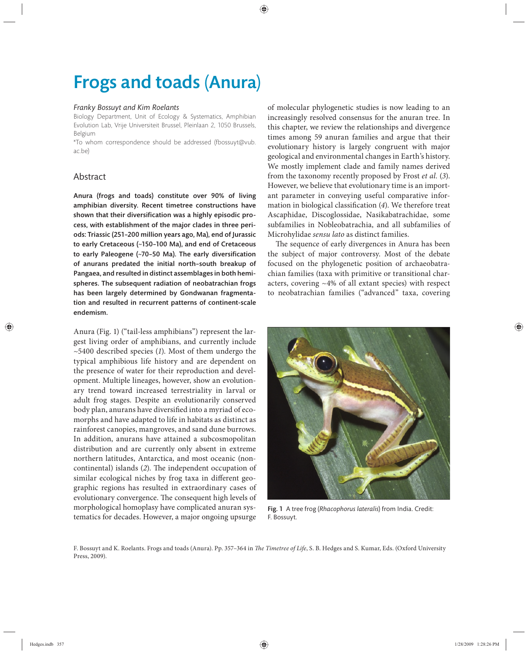# Frogs and toads (Anura)

# *Franky Bossuyt and Kim Roelants*

Biology Department, Unit of Ecology & Systematics, Amphibian Evolution Lab, Vrije Universiteit Brussel, Pleinlaan 2, 1050 Brussels, Belgium

\*To whom correspondence should be addressed (fbossuyt@vub. ac.be)

# Abstract

Anura (frogs and toads) constitute over 90% of living amphibian diversity. Recent timetree constructions have shown that their diversification was a highly episodic process, with establishment of the major clades in three periods: Triassic (251–200 million years ago, Ma), end of Jurassic to early Cretaceous (~150–100 Ma), and end of Cretaceous to early Paleogene ( $-70-50$  Ma). The early diversification of anurans predated the initial north–south breakup of Pangaea, and resulted in distinct assemblages in both hemispheres. The subsequent radiation of neobatrachian frogs has been largely determined by Gondwanan fragmentation and resulted in recurrent patterns of continent-scale endemism.

Anura (Fig. 1) ("tail-less amphibians") represent the largest living order of amphibians, and currently include ~5400 described species (*1*). Most of them undergo the typical amphibious life history and are dependent on the presence of water for their reproduction and development. Multiple lineages, however, show an evolutionary trend toward increased terrestriality in larval or adult frog stages. Despite an evolutionarily conserved body plan, anurans have diversified into a myriad of ecomorphs and have adapted to life in habitats as distinct as rainforest canopies, mangroves, and sand dune burrows. In addition, anurans have attained a subcosmopolitan distribution and are currently only absent in extreme northern latitudes, Antarctica, and most oceanic (noncontinental) islands (2). The independent occupation of similar ecological niches by frog taxa in different geographic regions has resulted in extraordinary cases of evolutionary convergence. The consequent high levels of morphological homoplasy have complicated anuran systematics for decades. However, a major ongoing upsurge of molecular phylogenetic studies is now leading to an increasingly resolved consensus for the anuran tree. In this chapter, we review the relationships and divergence times among 59 anuran families and argue that their evolutionary history is largely congruent with major geological and environmental changes in Earth's history. We mostly implement clade and family names derived from the taxonomy recently proposed by Frost *et al.* (*3*). However, we believe that evolutionary time is an important parameter in conveying useful comparative information in biological classification (4). We therefore treat Ascaphidae, Discoglossidae, Nasikabatrachidae, some subfamilies in Nobleobatrachia, and all subfamilies of Microhylidae *sensu lato* as distinct families.

The sequence of early divergences in Anura has been the subject of major controversy. Most of the debate focused on the phylogenetic position of archaeobatrachian families (taxa with primitive or transitional characters, covering ~4% of all extant species) with respect to neobatrachian families ("advanced" taxa, covering



Fig. 1 A tree frog (*Rhacophorus lateralis*) from India. Credit: F. Bossuyt.

F. Bossuyt and K. Roelants. Frogs and toads (Anura). Pp. 357-364 in *The Timetree of Life*, S. B. Hedges and S. Kumar, Eds. (Oxford University Press, 2009).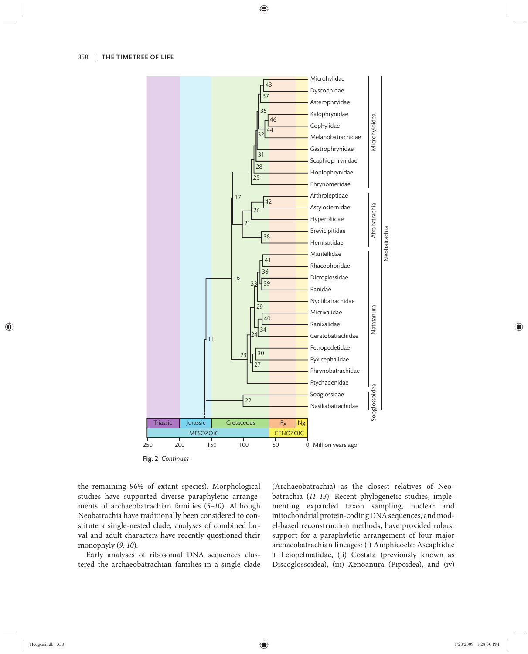

Fig. 2 *Continues*

the remaining 96% of extant species). Morphological studies have supported diverse paraphyletic arrangements of archaeobatrachian families (*5–10*). Although Neobatrachia have traditionally been considered to constitute a single-nested clade, analyses of combined larval and adult characters have recently questioned their monophyly (*9, 10*).

Early analyses of ribosomal DNA sequences clustered the archaeobatrachian families in a single clade (Archaeobatrachia) as the closest relatives of Neobatrachia (*11–13*). Recent phylogenetic studies, implementing expanded taxon sampling, nuclear and mitochondrial protein-coding DNA sequences, and model-based reconstruction methods, have provided robust support for a paraphyletic arrangement of four major archaeobatrachian lineages: (i) Amphicoela: Ascaphidae + Leiopelmatidae, (ii) Costata (previously known as Discoglossoidea), (iii) Xenoanura (Pipoidea), and (iv)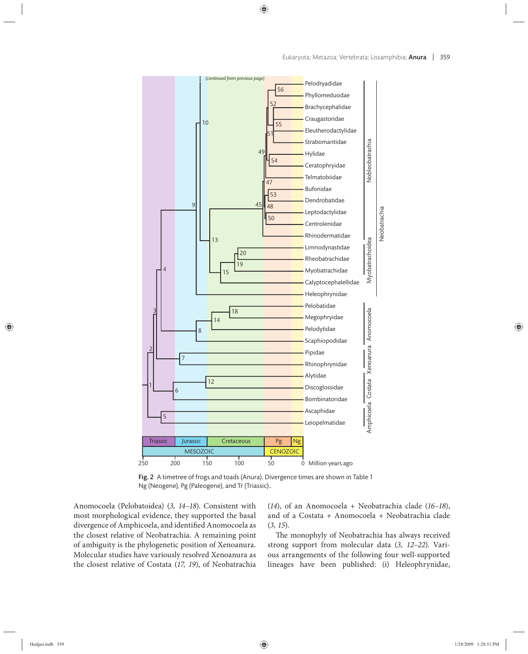

Fig. 2 A timetree of frogs and toads (Anura). Divergence times are shown in Table 1 Ng (Neogene), Pg (Paleogene), and Tr (Triassic)..

Anomocoela (Pelobatoidea) (*3, 14–18*). Consistent with most morphological evidence, they supported the basal divergence of Amphicoela, and identified Anomocoela as the closest relative of Neobatrachia. A remaining point of ambiguity is the phylogenetic position of Xenoanura. Molecular studies have variously resolved Xenoanura as the closest relative of Costata (*17, 19*), of Neobatrachia (*14*), of an Anomocoela + Neobatrachia clade (*16–18*), and of a Costata + Anomocoela + Neobatrachia clade (*3, 15*).

The monophyly of Neobatrachia has always received strong support from molecular data (3, 12-22). Various arrangements of the following four well-supported lineages have been published: (i) Heleophrynidae,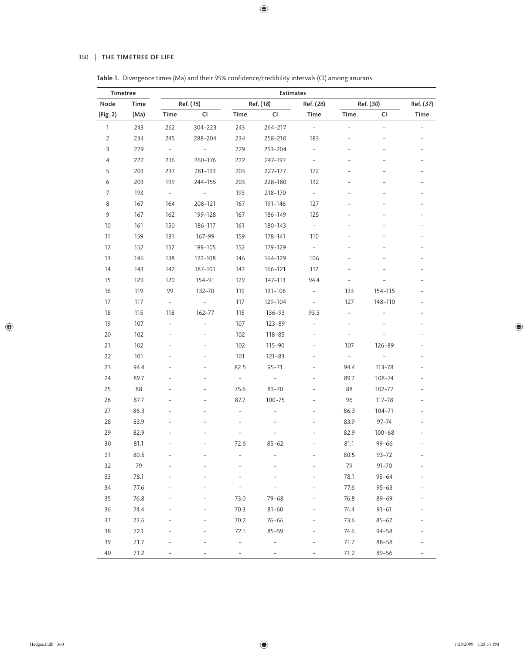| Timetree       |      | <b>Estimates</b>         |                          |                          |                          |                          |                          |            |           |  |
|----------------|------|--------------------------|--------------------------|--------------------------|--------------------------|--------------------------|--------------------------|------------|-----------|--|
| Node           | Time | Ref. (15)                |                          | Ref. (18)                |                          | Ref. (26)                | Ref. (30)                |            | Ref. (37) |  |
| (Fig. 2)       | (Ma) | Time                     | CI                       | Time                     | <b>CI</b>                | Time                     | Time                     | CI         | Time      |  |
| $\mathbf{1}$   | 243  | 262                      | 304-223                  | 243                      | 264-217                  | $\sim$                   |                          |            |           |  |
| $\overline{2}$ | 234  | 245                      | 288-204                  | 234                      | 258-210                  | 183                      |                          |            |           |  |
| 3              | 229  | $\equiv$                 | $\alpha = 0.01$          | 229                      | 253-204                  | $\overline{\phantom{0}}$ |                          |            |           |  |
| $\overline{4}$ | 222  | 216                      | 260-176                  | 222                      | 247-197                  | $\overline{\phantom{a}}$ |                          |            |           |  |
| 5              | 203  | 237                      | 281-193                  | 203                      | 227-177                  | 172                      |                          |            |           |  |
| 6              | 203  | 199                      | 244-155                  | 203                      | 228-180                  | 132                      |                          |            |           |  |
| 7              | 193  | $ \,$                    | $\sim 10^{-1}$           | 193                      | 218-170                  | $\equiv$                 |                          |            |           |  |
| 8              | 167  | 164                      | 208-121                  | 167                      | 191-146                  | 127                      |                          |            |           |  |
| 9              | 167  | 162                      | 199-128                  | 167                      | 186-149                  | 125                      |                          |            |           |  |
| $10$           | 161  | 150                      | 186-117                  | 161                      | 180-143                  | $\equiv$                 |                          |            |           |  |
| 11             | 159  | 131                      | 167-99                   | 159                      | 178-141                  | 110                      |                          |            |           |  |
| 12             | 152  | 152                      | 199-105                  | 152                      | 179-129                  | $\equiv$                 |                          |            |           |  |
| 13             | 146  | 138                      | 172-108                  | 146                      | 164-129                  | 106                      |                          |            |           |  |
| 14             | 143  | 142                      | 187-101                  | 143                      | 166-121                  | 112                      |                          |            |           |  |
| 15             | 129  | 120                      | 154-91                   | 129                      | 147-113                  | 94.4                     | $\overline{\phantom{a}}$ |            |           |  |
| 16             | 119  | 99                       | 132-70                   | 119                      | 131-106                  | $\equiv$                 | 133                      | 154-115    |           |  |
| 17             | 117  | $\overline{\phantom{a}}$ | $\overline{\phantom{a}}$ | 117                      | 129-104                  | $\equiv$                 | 127                      | 148-110    |           |  |
| 18             | 115  | 118                      | 162-77                   | 115                      | 136-93                   | 93.3                     |                          |            |           |  |
| 19             | 107  | $\overline{\phantom{a}}$ | $\overline{a}$           | 107                      | $123 - 89$               | $\overline{\phantom{0}}$ |                          |            |           |  |
| 20             | 102  |                          |                          | 102                      | $118 - 85$               |                          | $\overline{\phantom{0}}$ |            |           |  |
| 21             | 102  |                          |                          | 102                      | $115 - 90$               |                          | 107                      | $126 - 89$ |           |  |
| 22             | 101  |                          | $\overline{a}$           | 101                      | 121-83                   | $\overline{\phantom{0}}$ | $\sim$                   | $\sim$     |           |  |
| 23             | 94.4 |                          |                          | 82.5                     | $95 - 71$                | $\overline{a}$           | 94.4                     | 113-78     |           |  |
| 24             | 89.7 |                          |                          | $\equiv$                 | $\mathcal{L} =$          |                          | 89.7                     | 108-74     |           |  |
| 25             | 88   |                          |                          | 75.6                     | 83-70                    |                          | 88                       | 102-77     |           |  |
| 26             | 87.7 |                          |                          | 87.7                     | $100 - 75$               |                          | 96                       | 117-78     |           |  |
| 27             | 86.3 |                          |                          |                          |                          |                          | 86.3                     | $104 - 71$ |           |  |
| 28             | 83.9 |                          |                          |                          |                          |                          | 83.9                     | $97 - 74$  |           |  |
| 29             | 82.9 |                          |                          |                          |                          |                          | 82.9                     | $100 - 68$ |           |  |
| 30             | 81.1 |                          |                          | 72.6                     | $85 - 62$                |                          | 81.1                     | $99 - 66$  |           |  |
| 31             | 80.5 |                          |                          | $\overline{\phantom{0}}$ | $\overline{\phantom{0}}$ |                          | 80.5                     | $93 - 72$  |           |  |
| 32             | 79   |                          |                          |                          |                          |                          | 79                       | $91 - 70$  |           |  |
| 33             | 78.1 |                          |                          |                          |                          |                          | 78.1                     | $95 - 64$  |           |  |
| $34\,$         | 77.6 |                          |                          |                          |                          |                          | 77.6                     | $95 - 63$  |           |  |
| 35             | 76.8 |                          |                          | 73.0                     | 79-68                    |                          | 76.8                     | 89-69      |           |  |
| 36             | 74.4 |                          |                          | 70.3                     | $81 - 60$                |                          | 74.4                     | $91 - 61$  |           |  |
| $37\,$         | 73.6 |                          |                          | 70.2                     | $76 - 66$                |                          | 73.6                     | $85 - 67$  |           |  |
| 38             | 72.1 |                          |                          | 72.1                     | $85 - 59$                |                          | 74.6                     | $94 - 58$  |           |  |
| 39             | 71.7 |                          |                          | $\overline{\phantom{a}}$ | $\overline{\phantom{a}}$ |                          | 71.7                     | 88-58      |           |  |
| 40             | 71.2 |                          |                          | $\overline{\phantom{0}}$ |                          |                          | 71.2                     | $89 - 56$  |           |  |

Table 1. Divergence times (Ma) and their 95% confidence/credibility intervals (CI) among anurans.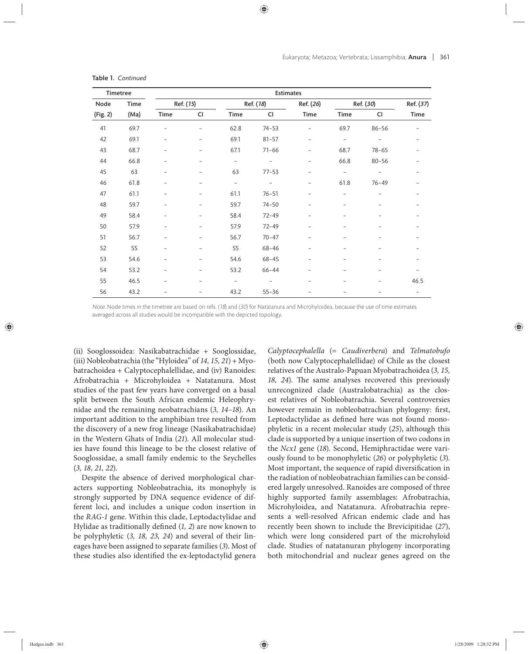| Timetree     |      | <b>Estimates</b>         |                          |                          |                   |                          |                          |                |                          |
|--------------|------|--------------------------|--------------------------|--------------------------|-------------------|--------------------------|--------------------------|----------------|--------------------------|
| Node<br>Time |      | Ref. (15)                |                          | Ref. (18)                |                   | Ref. (26)                | Ref. (30)                |                | Ref. (37)                |
| (Fig. 2)     | (Ma) | <b>Time</b>              | CI                       | Time                     | <b>CI</b>         | Time                     | Time                     | CI             | Time                     |
| 41           | 69.7 | $\overline{\phantom{0}}$ | -                        | 62.8                     | $74 - 53$         | $\overline{a}$           | 69.7                     | $86 - 56$      | $\overline{\phantom{0}}$ |
| 42           | 69.1 | $\overline{\phantom{0}}$ | -                        | 69.1                     | $81 - 57$         | -                        | $\overline{\phantom{a}}$ | $\overline{a}$ |                          |
| 43           | 68.7 | $\qquad \qquad -$        | -                        | 67.1                     | $71 - 66$         | -                        | 68.7                     | $78 - 65$      |                          |
| 44           | 66.8 | $\overline{\phantom{0}}$ | -                        | $\overline{\phantom{a}}$ | $\qquad \qquad -$ | -                        | 66.8                     | $80 - 56$      |                          |
| 45           | 63   | $\overline{a}$           | $\overline{\phantom{0}}$ | 63                       | $77 - 53$         | $\overline{a}$           | $\overline{\phantom{a}}$ | $\overline{a}$ |                          |
| 46           | 61.8 | $\overline{\phantom{0}}$ | -                        | $\overline{\phantom{a}}$ | $\qquad \qquad -$ | -                        | 61.8                     | $76 - 49$      |                          |
| 47           | 61.1 | $\overline{\phantom{0}}$ | $\overline{\phantom{0}}$ | 61.1                     | $76 - 51$         | $\overline{\phantom{0}}$ | -                        |                |                          |
| 48           | 59.7 | $\overline{\phantom{0}}$ | $\overline{\phantom{0}}$ | 59.7                     | $74 - 50$         | $\overline{a}$           |                          |                |                          |
| 49           | 58.4 | $\overline{a}$           | -                        | 58.4                     | $72 - 49$         | $\overline{a}$           |                          |                |                          |
| 50           | 57.9 | $\overline{\phantom{0}}$ | $\overline{\phantom{0}}$ | 57.9                     | $72 - 49$         | $\overline{a}$           |                          |                |                          |
| 51           | 56.7 | $\overline{a}$           | $\overline{\phantom{0}}$ | 56.7                     | $70 - 47$         | $\overline{a}$           |                          |                |                          |
| 52           | 55   | $\overline{a}$           | -                        | 55                       | 68-46             |                          |                          |                |                          |
| 53           | 54.6 | $\overline{a}$           |                          | 54.6                     | $68 - 45$         |                          |                          |                |                          |
| 54           | 53.2 |                          |                          | 53.2                     | $66 - 44$         |                          |                          |                |                          |
| 55           | 46.5 |                          |                          | -                        |                   |                          |                          |                | 46.5                     |
| 56           | 43.2 |                          |                          | 43.2                     | $55 - 36$         |                          |                          |                |                          |

|  | <b>Table 1.</b> Continued |
|--|---------------------------|
|  |                           |

Note: Node times in the timetree are based on refs. (18) and (30) for Natatanura and Microhyloidea, because the use of time estimates averaged across all studies would be incompatible with the depicted topology.

(ii) Sooglossoidea: Nasikabatrachidae + Sooglossidae, (iii) Nobleobatrachia (the "Hyloidea" of *14, 15, 21*) + Myobatrachoidea + Calyptocephalellidae, and (iv) Ranoides: Afrobatrachia + Microhyloidea + Natatanura. Most studies of the past few years have converged on a basal split between the South African endemic Heleophrynidae and the remaining neobatrachians (*3, 14–18*). An important addition to the amphibian tree resulted from the discovery of a new frog lineage (Nasikabatrachidae) in the Western Ghats of India (*21*). All molecular studies have found this lineage to be the closest relative of Sooglossidae, a small family endemic to the Seychelles (*3, 18, 21, 22*).

Despite the absence of derived morphological characters supporting Nobleobatrachia, its monophyly is strongly supported by DNA sequence evidence of different loci, and includes a unique codon insertion in the *RAG-1* gene. Within this clade, Leptodactylidae and Hylidae as traditionally defined (1, 2) are now known to be polyphyletic (*3, 18, 23, 24*) and several of their lineages have been assigned to separate families (*3*). Most of these studies also identified the ex-leptodactylid genera

*Calyptocephalella* (*= Caudiverbera*) and *Telmatobufo* (both now Calyptocephalellidae) of Chile as the closest relatives of the Australo-Papuan Myobatrachoidea (*3, 15,*  18, 24). The same analyses recovered this previously unrecognized clade (Australobatrachia) as the closest relatives of Nobleobatrachia. Several controversies however remain in nobleobatrachian phylogeny: first, Leptodactylidae as defined here was not found monophyletic in a recent molecular study (*25*), although this clade is supported by a unique insertion of two codons in the *Ncx1* gene (*18*). Second, Hemiphractidae were variously found to be monophyletic (*26*) or polyphyletic (*3*). Most important, the sequence of rapid diversification in the radiation of nobleobatrachian families can be considered largely unresolved. Ranoides are composed of three highly supported family assemblages: Afrobatrachia, Microhyloidea, and Natatanura. Afrobatrachia represents a well-resolved African endemic clade and has recently been shown to include the Brevicipitidae (27), which were long considered part of the microhyloid clade. Studies of natatanuran phylogeny incorporating both mitochondrial and nuclear genes agreed on the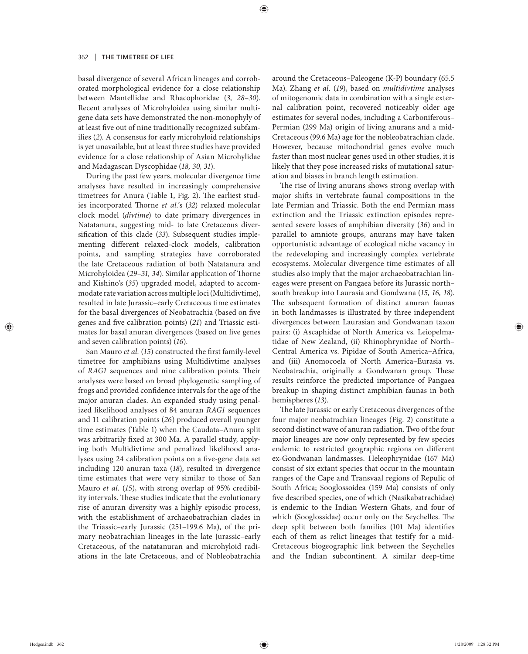basal divergence of several African lineages and corroborated morphological evidence for a close relationship between Mantellidae and Rhacophoridae (*3, 28–30*). Recent analyses of Microhyloidea using similar multigene data sets have demonstrated the non-monophyly of at least five out of nine traditionally recognized subfamilies (*2*). A consensus for early microhyloid relationships is yet unavailable, but at least three studies have provided evidence for a close relationship of Asian Microhylidae and Madagascan Dyscophidae (*18, 30, 31*).

During the past few years, molecular divergence time analyses have resulted in increasingly comprehensive timetrees for Anura (Table 1, Fig. 2). The earliest studies incorporated Thorne *et al.*'s (32) relaxed molecular clock model (*divtime*) to date primary divergences in Natatanura, suggesting mid- to late Cretaceous diversification of this clade (33). Subsequent studies implementing different relaxed-clock models, calibration points, and sampling strategies have corroborated the late Cretaceous radiation of both Natatanura and Microhyloidea (29–31, 34). Similar application of Thorne and Kishino's (*35*) upgraded model, adapted to accommodate rate variation across multiple loci (Multidivtime), resulted in late Jurassic–early Cretaceous time estimates for the basal divergences of Neobatrachia (based on five genes and five calibration points) (21) and Triassic estimates for basal anuran divergences (based on five genes and seven calibration points) (*16*).

San Mauro et al. (15) constructed the first family-level timetree for amphibians using Multidivtime analyses of *RAG1* sequences and nine calibration points. Their analyses were based on broad phylogenetic sampling of frogs and provided confidence intervals for the age of the major anuran clades. An expanded study using penalized likelihood analyses of 84 anuran *RAG1* sequences and 11 calibration points (*26*) produced overall younger time estimates (Table 1) when the Caudata–Anura split was arbitrarily fixed at 300 Ma. A parallel study, applying both Multidivtime and penalized likelihood analyses using 24 calibration points on a five-gene data set including 120 anuran taxa (18), resulted in divergence time estimates that were very similar to those of San Mauro *et al.* (*15*), with strong overlap of 95% credibility intervals. These studies indicate that the evolutionary rise of anuran diversity was a highly episodic process, with the establishment of archaeobatrachian clades in the Triassic–early Jurassic (251–199.6 Ma), of the primary neobatrachian lineages in the late Jurassic-early Cretaceous, of the natatanuran and microhyloid radiations in the late Cretaceous, and of Nobleobatrachia

around the Cretaceous–Paleogene (K-P) boundary (65.5 Ma). Zhang *et al.* (*19*), based on *multidivtime* analyses of mitogenomic data in combination with a single external calibration point, recovered noticeably older age estimates for several nodes, including a Carboniferous– Permian (299 Ma) origin of living anurans and a mid-Cretaceous (99.6 Ma) age for the nobleobatrachian clade. However, because mitochondrial genes evolve much faster than most nuclear genes used in other studies, it is likely that they pose increased risks of mutational saturation and biases in branch length estimation.

The rise of living anurans shows strong overlap with major shifts in vertebrate faunal compositions in the late Permian and Triassic. Both the end Permian mass extinction and the Triassic extinction episodes represented severe losses of amphibian diversity (*36*) and in parallel to amniote groups, anurans may have taken opportunistic advantage of ecological niche vacancy in the redeveloping and increasingly complex vertebrate ecosystems. Molecular divergence time estimates of all studies also imply that the major archaeobatrachian lineages were present on Pangaea before its Jurassic north– south breakup into Laurasia and Gondwana (*15, 16, 18*). The subsequent formation of distinct anuran faunas in both landmasses is illustrated by three independent divergences between Laurasian and Gondwanan taxon pairs: (i) Ascaphidae of North America vs. Leiopelmatidae of New Zealand, (ii) Rhinophrynidae of North– Central America vs. Pipidae of South America–Africa, and (iii) Anomocoela of North America–Eurasia vs. Neobatrachia, originally a Gondwanan group. These results reinforce the predicted importance of Pangaea breakup in shaping distinct amphibian faunas in both hemispheres (*13*).

The late Jurassic or early Cretaceous divergences of the four major neobatrachian lineages (Fig. 2) constitute a second distinct wave of anuran radiation. Two of the four major lineages are now only represented by few species endemic to restricted geographic regions on different ex-Gondwanan landmasses. Heleophrynidae (167 Ma) consist of six extant species that occur in the mountain ranges of the Cape and Transvaal regions of Repulic of South Africa; Sooglossoidea (159 Ma) consists of only five described species, one of which (Nasikabatrachidae) is endemic to the Indian Western Ghats, and four of which (Sooglossidae) occur only on the Seychelles. The deep split between both families (101 Ma) identifies each of them as relict lineages that testify for a mid-Cretaceous biogeographic link between the Seychelles and the Indian subcontinent. A similar deep-time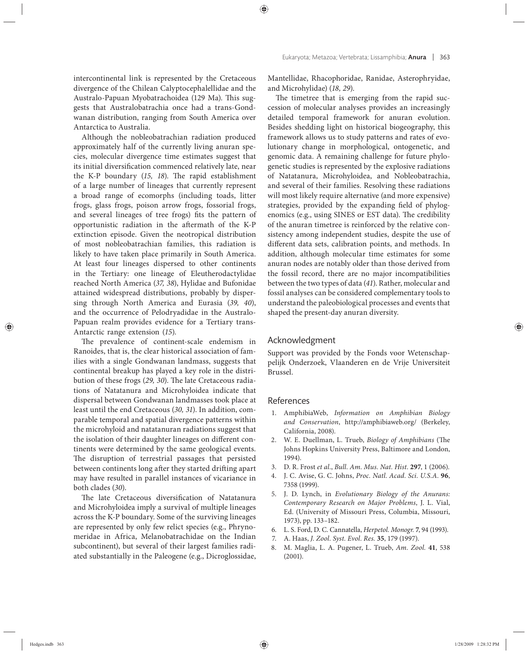intercontinental link is represented by the Cretaceous divergence of the Chilean Calyptocephalellidae and the Australo-Papuan Myobatrachoidea (129 Ma). This suggests that Australobatrachia once had a trans-Gondwanan distribution, ranging from South America over Antarctica to Australia.

Although the nobleobatrachian radiation produced approximately half of the currently living anuran species, molecular divergence time estimates suggest that its initial diversification commenced relatively late, near the K-P boundary (15, 18). The rapid establishment of a large number of lineages that currently represent a broad range of ecomorphs (including toads, litter frogs, glass frogs, poison arrow frogs, fossorial frogs, and several lineages of tree frogs) fits the pattern of opportunistic radiation in the aftermath of the K-P extinction episode. Given the neotropical distribution of most nobleobatrachian families, this radiation is likely to have taken place primarily in South America. At least four lineages dispersed to other continents in the Tertiary: one lineage of Eleutherodactylidae reached North America (*37, 38*), Hylidae and Bufonidae attained widespread distributions, probably by dispersing through North America and Eurasia (39, 40), and the occurrence of Pelodryadidae in the Australo-Papuan realm provides evidence for a Tertiary trans-Antarctic range extension (*15*).

The prevalence of continent-scale endemism in Ranoides, that is, the clear historical association of families with a single Gondwanan landmass, suggests that continental breakup has played a key role in the distribution of these frogs (29, 30). The late Cretaceous radiations of Natatanura and Microhyloidea indicate that dispersal between Gondwanan landmasses took place at least until the end Cretaceous (*30, 31*). In addition, comparable temporal and spatial divergence patterns within the microhyloid and natatanuran radiations suggest that the isolation of their daughter lineages on different continents were determined by the same geological events. The disruption of terrestrial passages that persisted between continents long after they started drifting apart may have resulted in parallel instances of vicariance in both clades (*30*).

The late Cretaceous diversification of Natatanura and Microhyloidea imply a survival of multiple lineages across the K-P boundary. Some of the surviving lineages are represented by only few relict species (e.g., Phrynomeridae in Africa, Melanobatrachidae on the Indian subcontinent), but several of their largest families radiated substantially in the Paleogene (e.g., Dicroglossidae,

Mantellidae, Rhacophoridae, Ranidae, Asterophryidae, and Microhylidae) (*18, 29*).

The timetree that is emerging from the rapid succession of molecular analyses provides an increasingly detailed temporal framework for anuran evolution. Besides shedding light on historical biogeography, this framework allows us to study patterns and rates of evolutionary change in morphological, ontogenetic, and genomic data. A remaining challenge for future phylogenetic studies is represented by the explosive radiations of Natatanura, Microhyloidea, and Nobleobatrachia, and several of their families. Resolving these radiations will most likely require alternative (and more expensive) strategies, provided by the expanding field of phylogenomics (e.g., using SINES or EST data). The credibility of the anuran timetree is reinforced by the relative consistency among independent studies, despite the use of different data sets, calibration points, and methods. In addition, although molecular time estimates for some anuran nodes are notably older than those derived from the fossil record, there are no major incompatibilities between the two types of data (*41*). Rather, molecular and fossil analyses can be considered complementary tools to understand the paleobiological processes and events that shaped the present-day anuran diversity.

# Acknowledgment

Support was provided by the Fonds voor Wetenschappelijk Onderzoek, Vlaanderen en de Vrije Universiteit Brussel.

## References

- 1. AmphibiaWeb, *Information on Amphibian Biology and Conservation*, http://amphibiaweb.org/ (Berkeley, California, 2008).
- 2. W. E. Duellman, L. Trueb, *Biology of Amphibians* (The Johns Hopkins University Press, Baltimore and London, 1994).
- 3. D. R. Frost *et al.*, *Bull. Am. Mus. Nat. Hist.* **297**, 1 (2006).
- 4. J. C. Avise, G. C. Johns, *Proc. Natl. Acad. Sci. U.S.A.* **96**, 7358 (1999).
- 5. J. D. Lynch, in *Evolutionary Biology of the Anurans: Contemporary Research on Major Problems*, J. L. Vial, Ed. (University of Missouri Press, Columbia, Missouri, 1973), pp. 133–182.
- 6. L. S. Ford, D. C. Cannatella, *Herpetol. Monogr.* **7**, 94 (1993).
- 7. A. Haas, *J. Zool. Syst. Evol. Res.* **35**, 179 (1997).
- 8. M. Maglia, L. A. Pugener, L. Trueb, *Am. Zool.* **41**, 538 (2001).